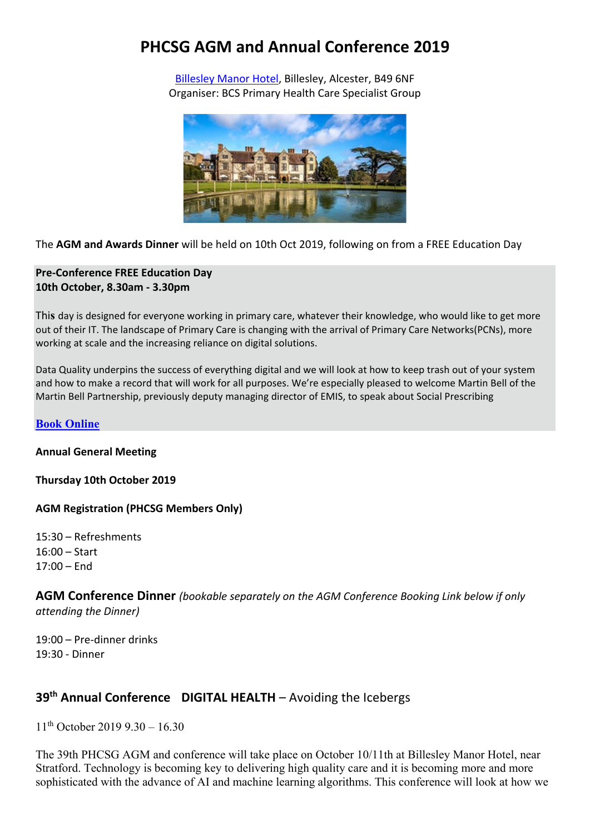# **PHCSG AGM and Annual Conference 2019**

[Billesley Manor Hotel,](https://www.billesleymanor.com/) Billesley, Alcester, B49 6NF Organiser: BCS Primary Health Care Specialist Group



The **AGM and Awards Dinner** will be held on 10th Oct 2019, following on from a FREE Education Day

#### **Pre-Conference FREE Education Day 10th October, 8.30am - 3.30pm**

Thi**s** day is designed for everyone working in primary care, whatever their knowledge, who would like to get more out of their IT. The landscape of Primary Care is changing with the arrival of Primary Care Networks(PCNs), more working at scale and the increasing reliance on digital solutions.

Data Quality underpins the success of everything digital and we will look at how to keep trash out of your system and how to make a record that will work for all purposes. We're especially pleased to welcome Martin Bell of the Martin Bell Partnership, previously deputy managing director of EMIS, to speak about Social Prescribing

#### **[Book Online](https://www.eventbrite.co.uk/e/primary-health-care-specialist-group-free-education-day-registration-59228010574?aff=erelexpmlt#tickets)**

#### **Annual General Meeting**

**Thursday 10th October 2019**

**AGM Registration (PHCSG Members Only)** 

15:30 – Refreshments 16:00 – Start 17:00 – End

**AGM Conference Dinner** *(bookable separately on the AGM Conference Booking Link below if only attending the Dinner)*

19:00 – Pre-dinner drinks 19:30 - Dinner

## **39th Annual Conference DIGITAL HEALTH** – Avoiding the Icebergs

 $11<sup>th</sup>$  October 2019 9.30 – 16.30

The 39th PHCSG AGM and conference will take place on October 10/11th at Billesley Manor Hotel, near Stratford. Technology is becoming key to delivering high quality care and it is becoming more and more sophisticated with the advance of AI and machine learning algorithms. This conference will look at how we